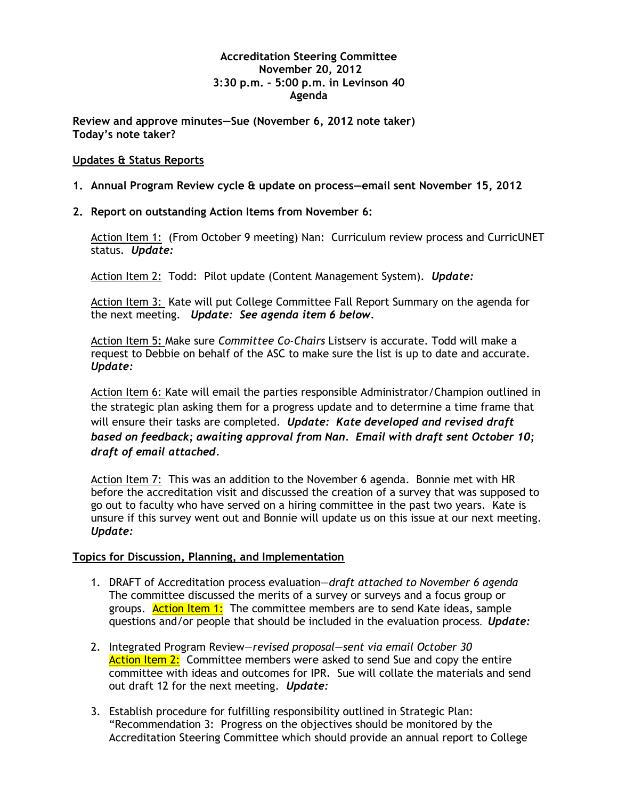## **Accreditation Steering Committee November 20, 2012 3:30 p.m. – 5:00 p.m. in Levinson 40 Agenda**

**Review and approve minutes—Sue (November 6, 2012 note taker) Today's note taker?**

## **Updates & Status Reports**

- **1. Annual Program Review cycle & update on process—email sent November 15, 2012**
- **2. Report on outstanding Action Items from November 6:**

Action Item 1: (From October 9 meeting) Nan: Curriculum review process and CurricUNET status. *Update:*

Action Item 2: Todd: Pilot update (Content Management System). *Update:*

Action Item 3: Kate will put College Committee Fall Report Summary on the agenda for the next meeting. *Update: See agenda item 6 below.*

Action Item 5**:** Make sure *Committee Co-Chairs* Listserv is accurate. Todd will make a request to Debbie on behalf of the ASC to make sure the list is up to date and accurate. *Update:*

Action Item 6: Kate will email the parties responsible Administrator/Champion outlined in the strategic plan asking them for a progress update and to determine a time frame that will ensure their tasks are completed. *Update: Kate developed and revised draft based on feedback; awaiting approval from Nan. Email with draft sent October 10; draft of email attached.*

Action Item 7: This was an addition to the November 6 agenda. Bonnie met with HR before the accreditation visit and discussed the creation of a survey that was supposed to go out to faculty who have served on a hiring committee in the past two years. Kate is unsure if this survey went out and Bonnie will update us on this issue at our next meeting. *Update:*

## **Topics for Discussion, Planning, and Implementation**

- 1. DRAFT of Accreditation process evaluation—*draft attached to November 6 agenda* The committee discussed the merits of a survey or surveys and a focus group or groups. Action Item 1: The committee members are to send Kate ideas, sample questions and/or people that should be included in the evaluation process. *Update:*
- 2. Integrated Program Review—*revised proposal—sent via email October 30* Action Item 2: Committee members were asked to send Sue and copy the entire committee with ideas and outcomes for IPR. Sue will collate the materials and send out draft 12 for the next meeting. *Update:*
- 3. Establish procedure for fulfilling responsibility outlined in Strategic Plan: "Recommendation 3: Progress on the objectives should be monitored by the Accreditation Steering Committee which should provide an annual report to College